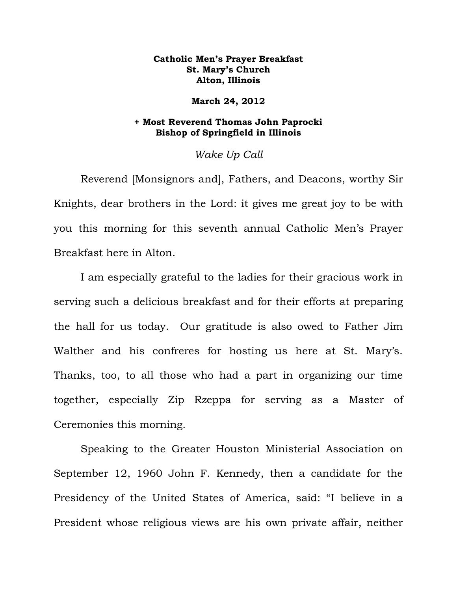## **Catholic Men's Prayer Breakfast St. Mary's Church Alton, Illinois**

## **March 24, 2012**

## **+ Most Reverend Thomas John Paprocki Bishop of Springfield in Illinois**

## *Wake Up Call*

Reverend [Monsignors and], Fathers, and Deacons, worthy Sir Knights, dear brothers in the Lord: it gives me great joy to be with you this morning for this seventh annual Catholic Men's Prayer Breakfast here in Alton.

I am especially grateful to the ladies for their gracious work in serving such a delicious breakfast and for their efforts at preparing the hall for us today. Our gratitude is also owed to Father Jim Walther and his confreres for hosting us here at St. Mary's. Thanks, too, to all those who had a part in organizing our time together, especially Zip Rzeppa for serving as a Master of Ceremonies this morning.

Speaking to the Greater Houston Ministerial Association on September 12, 1960 John F. Kennedy, then a candidate for the Presidency of the United States of America, said: "I believe in a President whose religious views are his own private affair, neither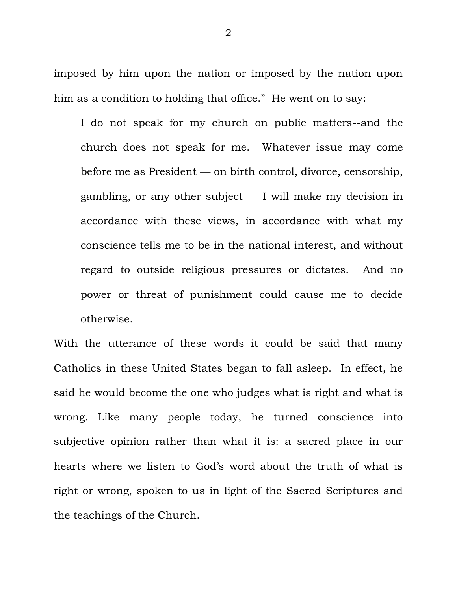imposed by him upon the nation or imposed by the nation upon him as a condition to holding that office." He went on to say:

I do not speak for my church on public matters--and the church does not speak for me. Whatever issue may come before me as President — on birth control, divorce, censorship, gambling, or any other subject — I will make my decision in accordance with these views, in accordance with what my conscience tells me to be in the national interest, and without regard to outside religious pressures or dictates. And no power or threat of punishment could cause me to decide otherwise.

With the utterance of these words it could be said that many Catholics in these United States began to fall asleep. In effect, he said he would become the one who judges what is right and what is wrong. Like many people today, he turned conscience into subjective opinion rather than what it is: a sacred place in our hearts where we listen to God's word about the truth of what is right or wrong, spoken to us in light of the Sacred Scriptures and the teachings of the Church.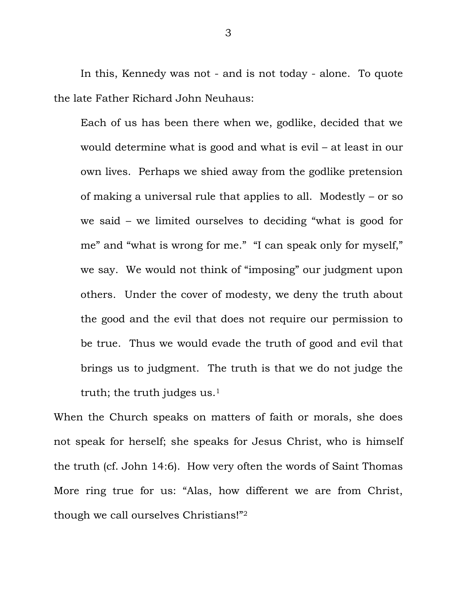In this, Kennedy was not - and is not today - alone. To quote the late Father Richard John Neuhaus:

Each of us has been there when we, godlike, decided that we would determine what is good and what is evil – at least in our own lives. Perhaps we shied away from the godlike pretension of making a universal rule that applies to all. Modestly – or so we said – we limited ourselves to deciding "what is good for me" and "what is wrong for me." "I can speak only for myself," we say. We would not think of "imposing" our judgment upon others. Under the cover of modesty, we deny the truth about the good and the evil that does not require our permission to be true. Thus we would evade the truth of good and evil that brings us to judgment. The truth is that we do not judge the truth; the truth judges us.<sup>1</sup>

When the Church speaks on matters of faith or morals, she does not speak for herself; she speaks for Jesus Christ, who is himself the truth (cf. John 14:6). How very often the words of Saint Thomas More ring true for us: "Alas, how different we are from Christ, though we call ourselves Christians!"2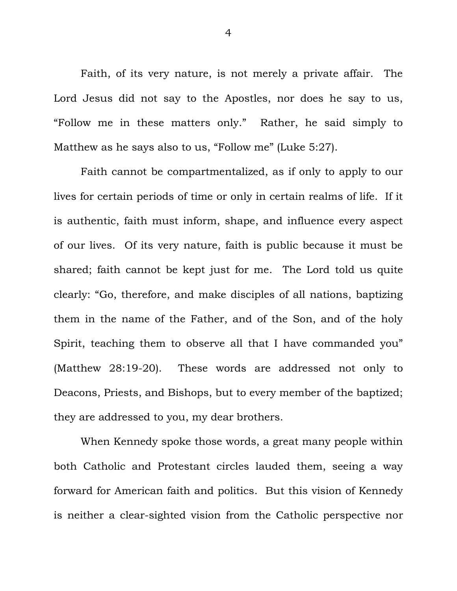Faith, of its very nature, is not merely a private affair. The Lord Jesus did not say to the Apostles, nor does he say to us, ―Follow me in these matters only.‖ Rather, he said simply to Matthew as he says also to us, "Follow me" (Luke 5:27).

Faith cannot be compartmentalized, as if only to apply to our lives for certain periods of time or only in certain realms of life. If it is authentic, faith must inform, shape, and influence every aspect of our lives. Of its very nature, faith is public because it must be shared; faith cannot be kept just for me. The Lord told us quite clearly: "Go, therefore, and make disciples of all nations, baptizing them in the name of the Father, and of the Son, and of the holy Spirit, teaching them to observe all that I have commanded you" (Matthew 28:19-20). These words are addressed not only to Deacons, Priests, and Bishops, but to every member of the baptized; they are addressed to you, my dear brothers.

When Kennedy spoke those words, a great many people within both Catholic and Protestant circles lauded them, seeing a way forward for American faith and politics. But this vision of Kennedy is neither a clear-sighted vision from the Catholic perspective nor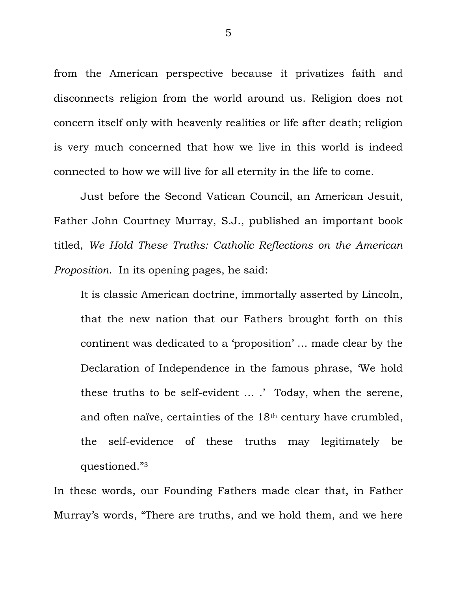from the American perspective because it privatizes faith and disconnects religion from the world around us. Religion does not concern itself only with heavenly realities or life after death; religion is very much concerned that how we live in this world is indeed connected to how we will live for all eternity in the life to come.

Just before the Second Vatican Council, an American Jesuit, Father John Courtney Murray, S.J., published an important book titled, *We Hold These Truths: Catholic Reflections on the American Proposition*. In its opening pages, he said:

It is classic American doctrine, immortally asserted by Lincoln, that the new nation that our Fathers brought forth on this continent was dedicated to a 'proposition' ... made clear by the Declaration of Independence in the famous phrase, We hold these truths to be self-evident … .' Today, when the serene, and often naïve, certainties of the 18th century have crumbled, the self-evidence of these truths may legitimately be questioned."3

In these words, our Founding Fathers made clear that, in Father Murray's words, "There are truths, and we hold them, and we here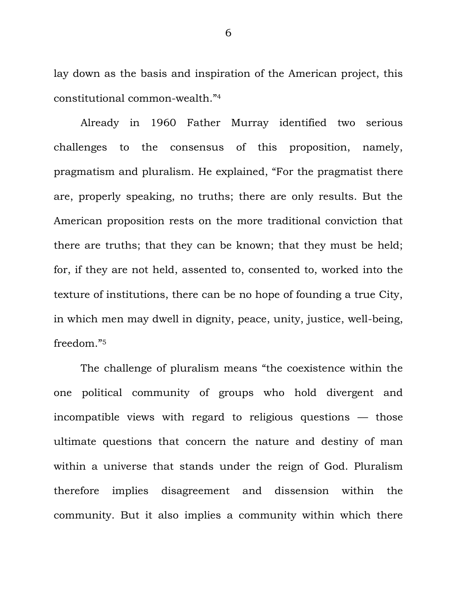lay down as the basis and inspiration of the American project, this constitutional common-wealth."4

Already in 1960 Father Murray identified two serious challenges to the consensus of this proposition, namely, pragmatism and pluralism. He explained, "For the pragmatist there are, properly speaking, no truths; there are only results. But the American proposition rests on the more traditional conviction that there are truths; that they can be known; that they must be held; for, if they are not held, assented to, consented to, worked into the texture of institutions, there can be no hope of founding a true City, in which men may dwell in dignity, peace, unity, justice, well-being, freedom."5

The challenge of pluralism means "the coexistence within the one political community of groups who hold divergent and incompatible views with regard to religious questions — those ultimate questions that concern the nature and destiny of man within a universe that stands under the reign of God. Pluralism therefore implies disagreement and dissension within the community. But it also implies a community within which there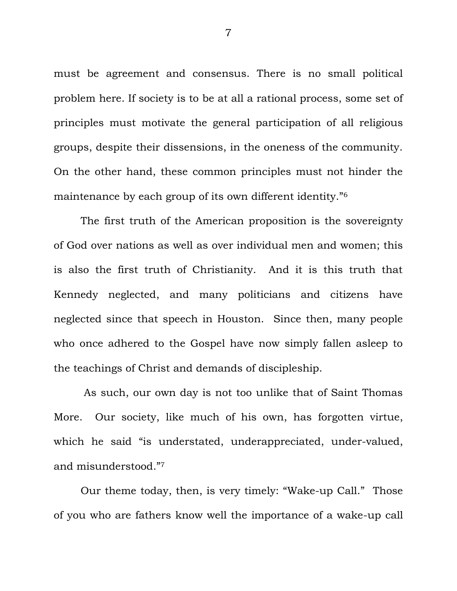must be agreement and consensus. There is no small political problem here. If society is to be at all a rational process, some set of principles must motivate the general participation of all religious groups, despite their dissensions, in the oneness of the community. On the other hand, these common principles must not hinder the maintenance by each group of its own different identity."<sup>6</sup>

The first truth of the American proposition is the sovereignty of God over nations as well as over individual men and women; this is also the first truth of Christianity. And it is this truth that Kennedy neglected, and many politicians and citizens have neglected since that speech in Houston. Since then, many people who once adhered to the Gospel have now simply fallen asleep to the teachings of Christ and demands of discipleship.

As such, our own day is not too unlike that of Saint Thomas More. Our society, like much of his own, has forgotten virtue, which he said "is understated, underappreciated, under-valued, and misunderstood."7

Our theme today, then, is very timely: "Wake-up Call." Those of you who are fathers know well the importance of a wake-up call

7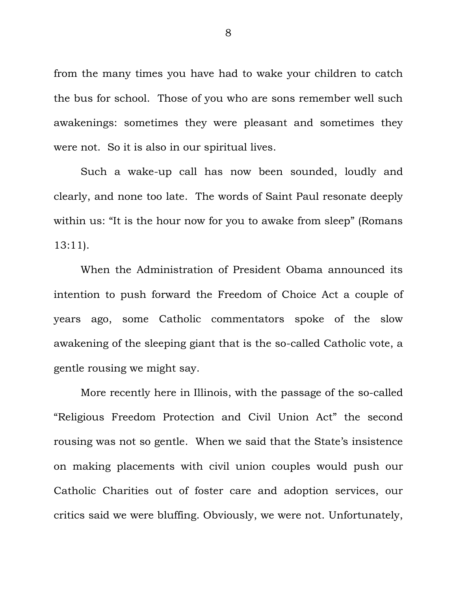from the many times you have had to wake your children to catch the bus for school. Those of you who are sons remember well such awakenings: sometimes they were pleasant and sometimes they were not. So it is also in our spiritual lives.

Such a wake-up call has now been sounded, loudly and clearly, and none too late. The words of Saint Paul resonate deeply within us: "It is the hour now for you to awake from sleep" (Romans 13:11).

When the Administration of President Obama announced its intention to push forward the Freedom of Choice Act a couple of years ago, some Catholic commentators spoke of the slow awakening of the sleeping giant that is the so-called Catholic vote, a gentle rousing we might say.

More recently here in Illinois, with the passage of the so-called "Religious Freedom Protection and Civil Union Act" the second rousing was not so gentle. When we said that the State's insistence on making placements with civil union couples would push our Catholic Charities out of foster care and adoption services, our critics said we were bluffing. Obviously, we were not. Unfortunately,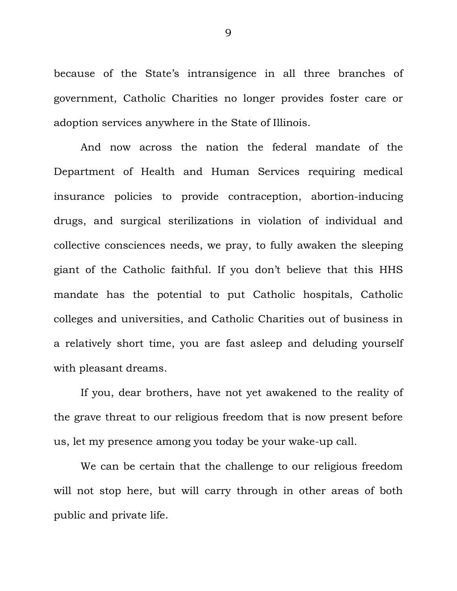because of the State's intransigence in all three branches of government, Catholic Charities no longer provides foster care or adoption services anywhere in the State of Illinois.

And now across the nation the federal mandate of the Department of Health and Human Services requiring medical insurance policies to provide contraception, abortion-inducing drugs, and surgical sterilizations in violation of individual and collective consciences needs, we pray, to fully awaken the sleeping giant of the Catholic faithful. If you don't believe that this HHS mandate has the potential to put Catholic hospitals, Catholic colleges and universities, and Catholic Charities out of business in a relatively short time, you are fast asleep and deluding yourself with pleasant dreams.

If you, dear brothers, have not yet awakened to the reality of the grave threat to our religious freedom that is now present before us, let my presence among you today be your wake-up call.

We can be certain that the challenge to our religious freedom will not stop here, but will carry through in other areas of both public and private life.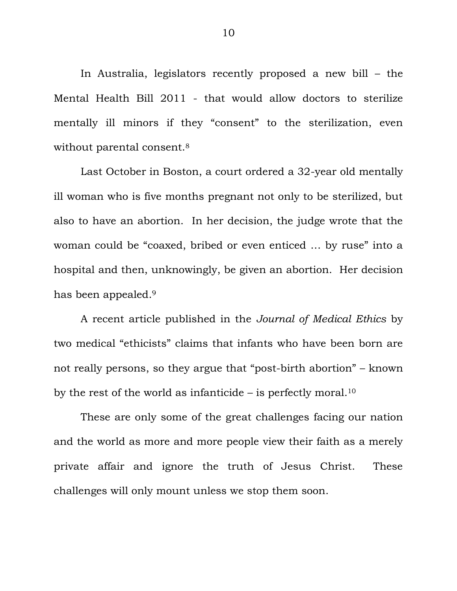In Australia, legislators recently proposed a new bill – the Mental Health Bill 2011 - that would allow doctors to sterilize mentally ill minors if they "consent" to the sterilization, even without parental consent.<sup>8</sup>

Last October in Boston, a court ordered a 32-year old mentally ill woman who is five months pregnant not only to be sterilized, but also to have an abortion. In her decision, the judge wrote that the woman could be "coaxed, bribed or even enticed ... by ruse" into a hospital and then, unknowingly, be given an abortion. Her decision has been appealed.<sup>9</sup>

A recent article published in the *Journal of Medical Ethics* by two medical "ethicists" claims that infants who have been born are not really persons, so they argue that "post-birth abortion" – known by the rest of the world as infanticide – is perfectly moral.<sup>10</sup>

These are only some of the great challenges facing our nation and the world as more and more people view their faith as a merely private affair and ignore the truth of Jesus Christ. These challenges will only mount unless we stop them soon.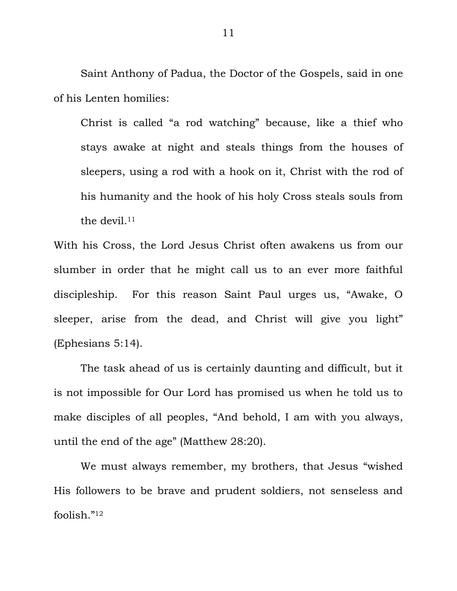Saint Anthony of Padua, the Doctor of the Gospels, said in one of his Lenten homilies:

Christ is called "a rod watching" because, like a thief who stays awake at night and steals things from the houses of sleepers, using a rod with a hook on it, Christ with the rod of his humanity and the hook of his holy Cross steals souls from the devil. $11$ 

With his Cross, the Lord Jesus Christ often awakens us from our slumber in order that he might call us to an ever more faithful discipleship. For this reason Saint Paul urges us, "Awake, O sleeper, arise from the dead, and Christ will give you light" (Ephesians 5:14).

The task ahead of us is certainly daunting and difficult, but it is not impossible for Our Lord has promised us when he told us to make disciples of all peoples, "And behold, I am with you always, until the end of the age" (Matthew 28:20).

We must always remember, my brothers, that Jesus "wished" His followers to be brave and prudent soldiers, not senseless and foolish."<sup>12</sup>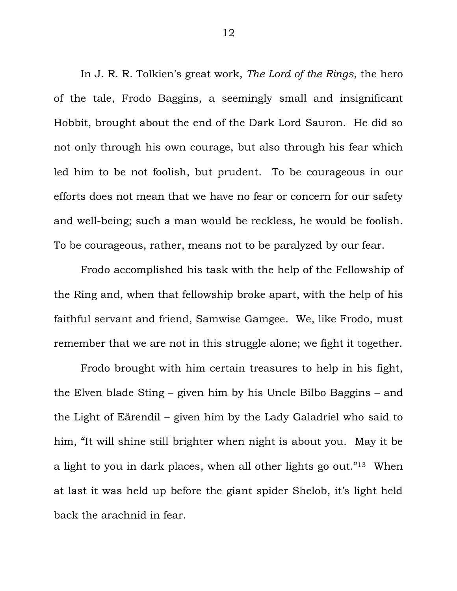In J. R. R. Tolkien's great work, *The Lord of the Rings*, the hero of the tale, Frodo Baggins, a seemingly small and insignificant Hobbit, brought about the end of the Dark Lord Sauron. He did so not only through his own courage, but also through his fear which led him to be not foolish, but prudent. To be courageous in our efforts does not mean that we have no fear or concern for our safety and well-being; such a man would be reckless, he would be foolish. To be courageous, rather, means not to be paralyzed by our fear.

Frodo accomplished his task with the help of the Fellowship of the Ring and, when that fellowship broke apart, with the help of his faithful servant and friend, Samwise Gamgee. We, like Frodo, must remember that we are not in this struggle alone; we fight it together.

Frodo brought with him certain treasures to help in his fight, the Elven blade Sting – given him by his Uncle Bilbo Baggins – and the Light of Eärendil – given him by the Lady Galadriel who said to him, "It will shine still brighter when night is about you. May it be a light to you in dark places, when all other lights go out.<sup>"13</sup> When at last it was held up before the giant spider Shelob, it's light held back the arachnid in fear.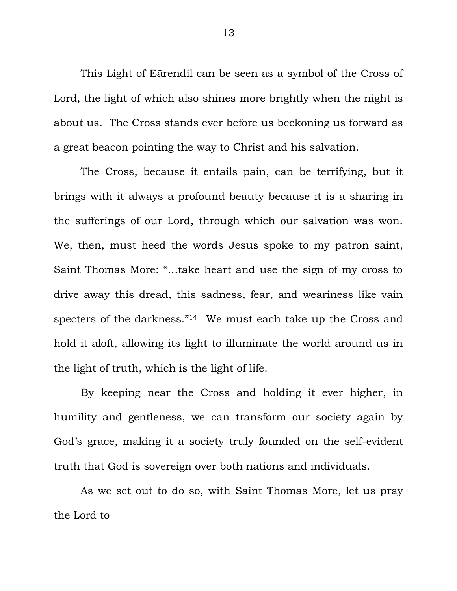This Light of Eärendil can be seen as a symbol of the Cross of Lord, the light of which also shines more brightly when the night is about us. The Cross stands ever before us beckoning us forward as a great beacon pointing the way to Christ and his salvation.

The Cross, because it entails pain, can be terrifying, but it brings with it always a profound beauty because it is a sharing in the sufferings of our Lord, through which our salvation was won. We, then, must heed the words Jesus spoke to my patron saint, Saint Thomas More: "...take heart and use the sign of my cross to drive away this dread, this sadness, fear, and weariness like vain specters of the darkness."<sup>14</sup> We must each take up the Cross and hold it aloft, allowing its light to illuminate the world around us in the light of truth, which is the light of life.

By keeping near the Cross and holding it ever higher, in humility and gentleness, we can transform our society again by God's grace, making it a society truly founded on the self-evident truth that God is sovereign over both nations and individuals.

As we set out to do so, with Saint Thomas More, let us pray the Lord to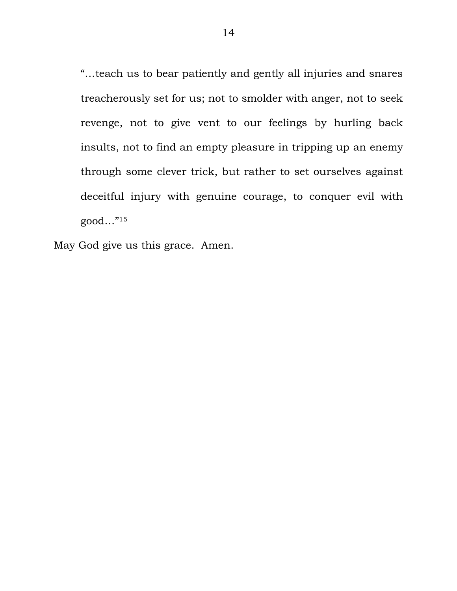―…teach us to bear patiently and gently all injuries and snares treacherously set for us; not to smolder with anger, not to seek revenge, not to give vent to our feelings by hurling back insults, not to find an empty pleasure in tripping up an enemy through some clever trick, but rather to set ourselves against deceitful injury with genuine courage, to conquer evil with  $good...$ "<sup>15</sup>

May God give us this grace. Amen.